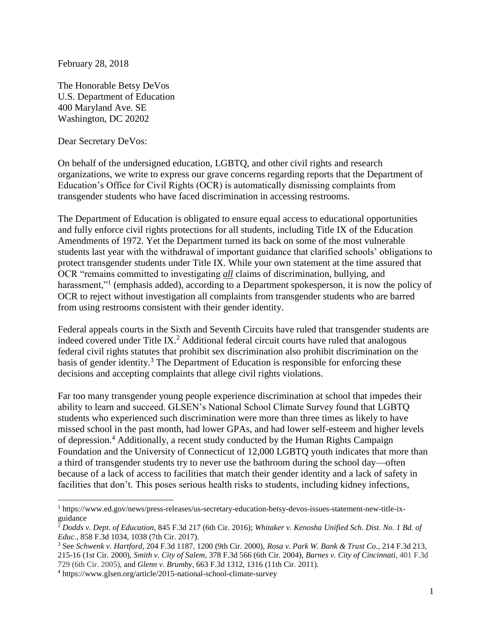February 28, 2018

The Honorable Betsy DeVos U.S. Department of Education 400 Maryland Ave. SE Washington, DC 20202

Dear Secretary DeVos:

 $\overline{a}$ 

On behalf of the undersigned education, LGBTQ, and other civil rights and research organizations, we write to express our grave concerns regarding reports that the Department of Education's Office for Civil Rights (OCR) is automatically dismissing complaints from transgender students who have faced discrimination in accessing restrooms.

The Department of Education is obligated to ensure equal access to educational opportunities and fully enforce civil rights protections for all students, including Title IX of the Education Amendments of 1972. Yet the Department turned its back on some of the most vulnerable students last year with the withdrawal of important guidance that clarified schools' obligations to protect transgender students under Title IX. While your own statement at the time assured that OCR "remains committed to investigating *all* claims of discrimination, bullying, and harassment,"<sup>1</sup> (emphasis added), according to a Department spokesperson, it is now the policy of OCR to reject without investigation all complaints from transgender students who are barred from using restrooms consistent with their gender identity.

Federal appeals courts in the Sixth and Seventh Circuits have ruled that transgender students are indeed covered under Title IX.<sup>2</sup> Additional federal circuit courts have ruled that analogous federal civil rights statutes that prohibit sex discrimination also prohibit discrimination on the basis of gender identity.<sup>3</sup> The Department of Education is responsible for enforcing these decisions and accepting complaints that allege civil rights violations.

Far too many transgender young people experience discrimination at school that impedes their ability to learn and succeed. GLSEN's National School Climate Survey found that LGBTQ students who experienced such discrimination were more than three times as likely to have missed school in the past month, had lower GPAs, and had lower self-esteem and higher levels of depression.<sup>4</sup> Additionally, a recent study conducted by the Human Rights Campaign Foundation and the University of Connecticut of 12,000 LGBTQ youth indicates that more than a third of transgender students try to never use the bathroom during the school day—often because of a lack of access to facilities that match their gender identity and a lack of safety in facilities that don't. This poses serious health risks to students, including kidney infections,

<sup>1</sup> https://www.ed.gov/news/press-releases/us-secretary-education-betsy-devos-issues-statement-new-title-ixguidance

<sup>2</sup> *Dodds v. Dept. of Education*, 845 F.3d 217 (6th Cir. 2016); *Whitaker v. Kenosha Unified Sch. Dist. No. 1 Bd. of Educ.*, 858 F.3d 1034, 1038 (7th Cir. 2017).

<sup>3</sup> See *Schwenk v. Hartford*, 204 F.3d 1187, 1200 (9th Cir. 2000), *Rosa v. Park W. Bank & Trust Co.*, 214 F.3d 213, 215-16 (1st Cir. 2000), *Smith v. City of Salem*, 378 F.3d 566 (6th Cir. 2004), *Barnes v. City of Cincinnati*, 401 F.3d 729 (6th Cir. 2005), and *Glenn v. Brumby*, 663 F.3d 1312, 1316 (11th Cir. 2011).

<sup>4</sup> https://www.glsen.org/article/2015-national-school-climate-survey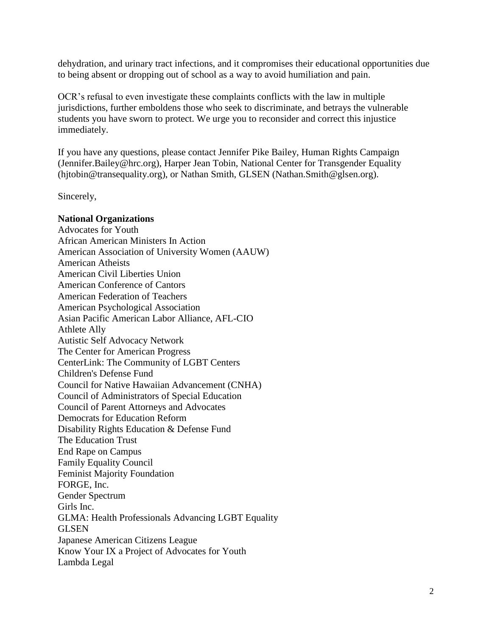dehydration, and urinary tract infections, and it compromises their educational opportunities due to being absent or dropping out of school as a way to avoid humiliation and pain.

OCR's refusal to even investigate these complaints conflicts with the law in multiple jurisdictions, further emboldens those who seek to discriminate, and betrays the vulnerable students you have sworn to protect. We urge you to reconsider and correct this injustice immediately.

If you have any questions, please contact Jennifer Pike Bailey, Human Rights Campaign (Jennifer.Bailey@hrc.org), Harper Jean Tobin, National Center for Transgender Equality (hjtobin@transequality.org), or Nathan Smith, GLSEN (Nathan.Smith@glsen.org).

Sincerely,

## **National Organizations**

Advocates for Youth African American Ministers In Action American Association of University Women (AAUW) American Atheists American Civil Liberties Union American Conference of Cantors American Federation of Teachers American Psychological Association Asian Pacific American Labor Alliance, AFL-CIO Athlete Ally Autistic Self Advocacy Network The Center for American Progress CenterLink: The Community of LGBT Centers Children's Defense Fund Council for Native Hawaiian Advancement (CNHA) Council of Administrators of Special Education Council of Parent Attorneys and Advocates Democrats for Education Reform Disability Rights Education & Defense Fund The Education Trust End Rape on Campus Family Equality Council Feminist Majority Foundation FORGE, Inc. Gender Spectrum Girls Inc. GLMA: Health Professionals Advancing LGBT Equality **GLSEN** Japanese American Citizens League Know Your IX a Project of Advocates for Youth Lambda Legal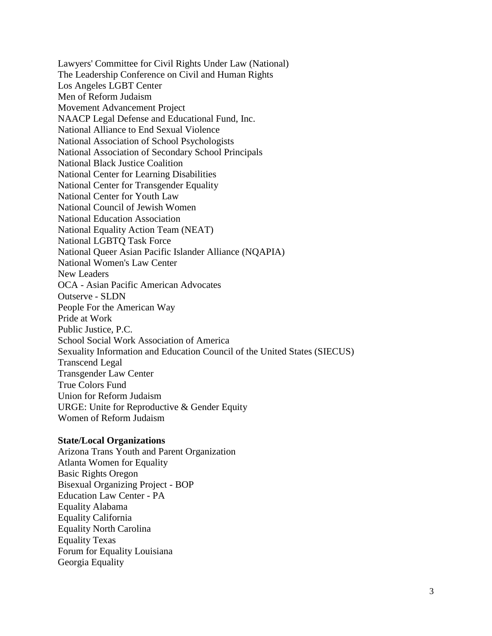Lawyers' Committee for Civil Rights Under Law (National) The Leadership Conference on Civil and Human Rights Los Angeles LGBT Center Men of Reform Judaism Movement Advancement Project NAACP Legal Defense and Educational Fund, Inc. National Alliance to End Sexual Violence National Association of School Psychologists National Association of Secondary School Principals National Black Justice Coalition National Center for Learning Disabilities National Center for Transgender Equality National Center for Youth Law National Council of Jewish Women National Education Association National Equality Action Team (NEAT) National LGBTQ Task Force National Queer Asian Pacific Islander Alliance (NQAPIA) National Women's Law Center New Leaders OCA - Asian Pacific American Advocates Outserve - SLDN People For the American Way Pride at Work Public Justice, P.C. School Social Work Association of America Sexuality Information and Education Council of the United States (SIECUS) Transcend Legal Transgender Law Center True Colors Fund Union for Reform Judaism URGE: Unite for Reproductive & Gender Equity Women of Reform Judaism

## **State/Local Organizations**

Arizona Trans Youth and Parent Organization Atlanta Women for Equality Basic Rights Oregon Bisexual Organizing Project - BOP Education Law Center - PA Equality Alabama Equality California Equality North Carolina Equality Texas Forum for Equality Louisiana Georgia Equality